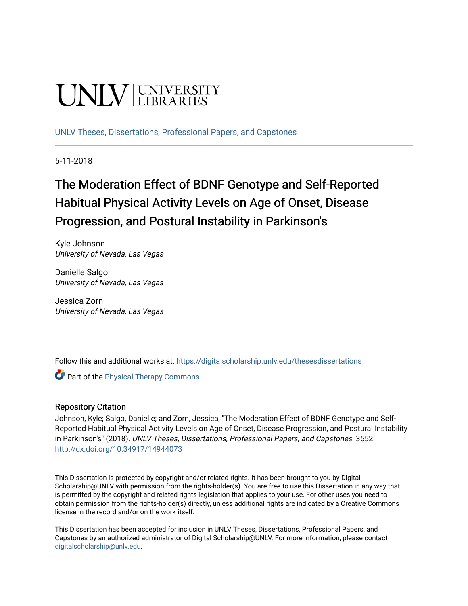# UNIV UNIVERSITY

[UNLV Theses, Dissertations, Professional Papers, and Capstones](https://digitalscholarship.unlv.edu/thesesdissertations)

5-11-2018

## The Moderation Effect of BDNF Genotype and Self-Reported Habitual Physical Activity Levels on Age of Onset, Disease Progression, and Postural Instability in Parkinson's

Kyle Johnson University of Nevada, Las Vegas

Danielle Salgo University of Nevada, Las Vegas

Jessica Zorn University of Nevada, Las Vegas

Follow this and additional works at: [https://digitalscholarship.unlv.edu/thesesdissertations](https://digitalscholarship.unlv.edu/thesesdissertations?utm_source=digitalscholarship.unlv.edu%2Fthesesdissertations%2F3552&utm_medium=PDF&utm_campaign=PDFCoverPages)

**Part of the [Physical Therapy Commons](http://network.bepress.com/hgg/discipline/754?utm_source=digitalscholarship.unlv.edu%2Fthesesdissertations%2F3552&utm_medium=PDF&utm_campaign=PDFCoverPages)** 

#### Repository Citation

Johnson, Kyle; Salgo, Danielle; and Zorn, Jessica, "The Moderation Effect of BDNF Genotype and Self-Reported Habitual Physical Activity Levels on Age of Onset, Disease Progression, and Postural Instability in Parkinson's" (2018). UNLV Theses, Dissertations, Professional Papers, and Capstones. 3552. <http://dx.doi.org/10.34917/14944073>

This Dissertation is protected by copyright and/or related rights. It has been brought to you by Digital Scholarship@UNLV with permission from the rights-holder(s). You are free to use this Dissertation in any way that is permitted by the copyright and related rights legislation that applies to your use. For other uses you need to obtain permission from the rights-holder(s) directly, unless additional rights are indicated by a Creative Commons license in the record and/or on the work itself.

This Dissertation has been accepted for inclusion in UNLV Theses, Dissertations, Professional Papers, and Capstones by an authorized administrator of Digital Scholarship@UNLV. For more information, please contact [digitalscholarship@unlv.edu](mailto:digitalscholarship@unlv.edu).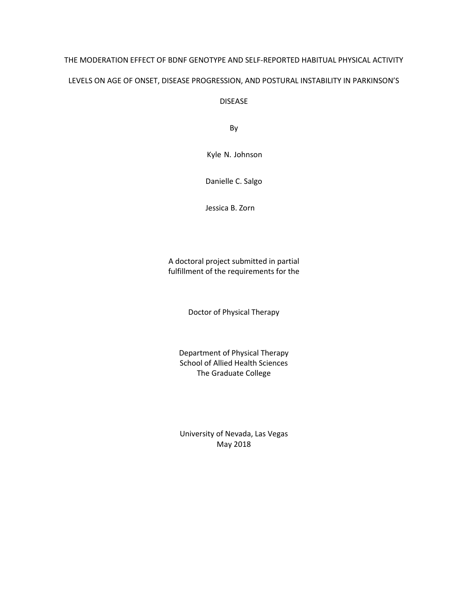## THE MODERATION EFFECT OF BDNF GENOTYPE AND SELF-REPORTED HABITUAL PHYSICAL ACTIVITY LEVELS ON AGE OF ONSET, DISEASE PROGRESSION, AND POSTURAL INSTABILITY IN PARKINSON'S

DISEASE

By

Kyle N. Johnson

Danielle C. Salgo

Jessica B. Zorn

A doctoral project submitted in partial fulfillment of the requirements for the

Doctor of Physical Therapy

Department of Physical Therapy School of Allied Health Sciences The Graduate College

University of Nevada, Las Vegas May 2018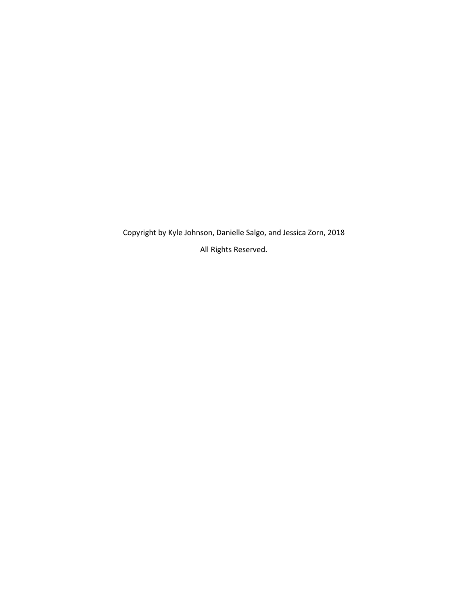Copyright by Kyle Johnson, Danielle Salgo, and Jessica Zorn, 2018 All Rights Reserved.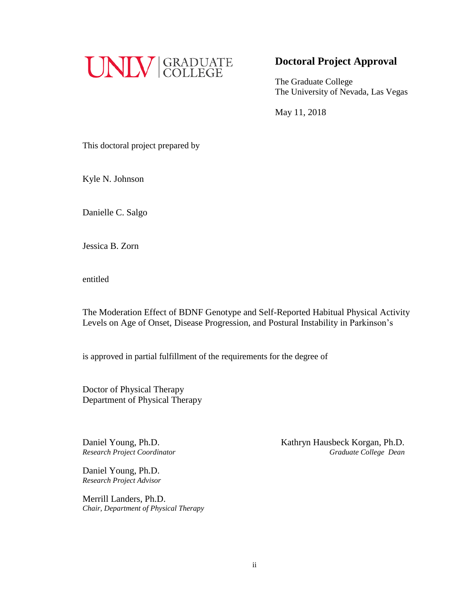

## **Doctoral Project Approval**

The Graduate College The University of Nevada, Las Vegas

May 11, 2018

This doctoral project prepared by

Kyle N. Johnson

Danielle C. Salgo

Jessica B. Zorn

entitled

The Moderation Effect of BDNF Genotype and Self-Reported Habitual Physical Activity Levels on Age of Onset, Disease Progression, and Postural Instability in Parkinson's

is approved in partial fulfillment of the requirements for the degree of

Doctor of Physical Therapy Department of Physical Therapy

Daniel Young, Ph.D. *Research Project Advisor*

Merrill Landers, Ph.D. *Chair, Department of Physical Therapy*

Daniel Young, Ph.D.<br> **Kathryn Hausbeck Korgan, Ph.D.** *Research Project Coordinator Graduate College Dean*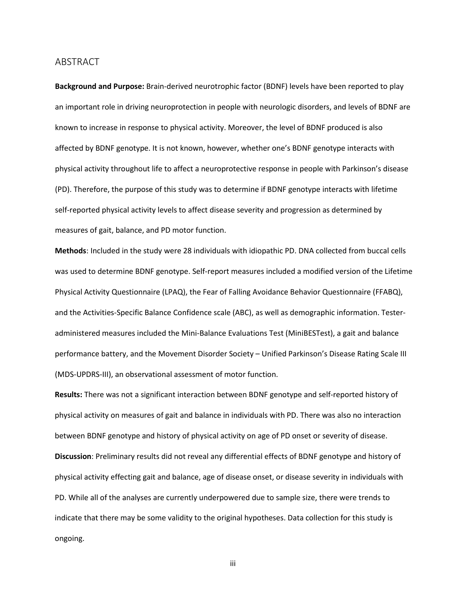#### <span id="page-4-0"></span>**ABSTRACT**

**Background and Purpose:** Brain-derived neurotrophic factor (BDNF) levels have been reported to play an important role in driving neuroprotection in people with neurologic disorders, and levels of BDNF are known to increase in response to physical activity. Moreover, the level of BDNF produced is also affected by BDNF genotype. It is not known, however, whether one's BDNF genotype interacts with physical activity throughout life to affect a neuroprotective response in people with Parkinson's disease (PD). Therefore, the purpose of this study was to determine if BDNF genotype interacts with lifetime self-reported physical activity levels to affect disease severity and progression as determined by measures of gait, balance, and PD motor function.

**Methods**: Included in the study were 28 individuals with idiopathic PD. DNA collected from buccal cells was used to determine BDNF genotype. Self-report measures included a modified version of the Lifetime Physical Activity Questionnaire (LPAQ), the Fear of Falling Avoidance Behavior Questionnaire (FFABQ), and the Activities-Specific Balance Confidence scale (ABC), as well as demographic information. Testeradministered measures included the Mini-Balance Evaluations Test (MiniBESTest), a gait and balance performance battery, and the Movement Disorder Society – Unified Parkinson's Disease Rating Scale III (MDS-UPDRS-III), an observational assessment of motor function.

**Results:** There was not a significant interaction between BDNF genotype and self-reported history of physical activity on measures of gait and balance in individuals with PD. There was also no interaction between BDNF genotype and history of physical activity on age of PD onset or severity of disease. **Discussion**: Preliminary results did not reveal any differential effects of BDNF genotype and history of physical activity effecting gait and balance, age of disease onset, or disease severity in individuals with PD. While all of the analyses are currently underpowered due to sample size, there were trends to indicate that there may be some validity to the original hypotheses. Data collection for this study is ongoing.

iii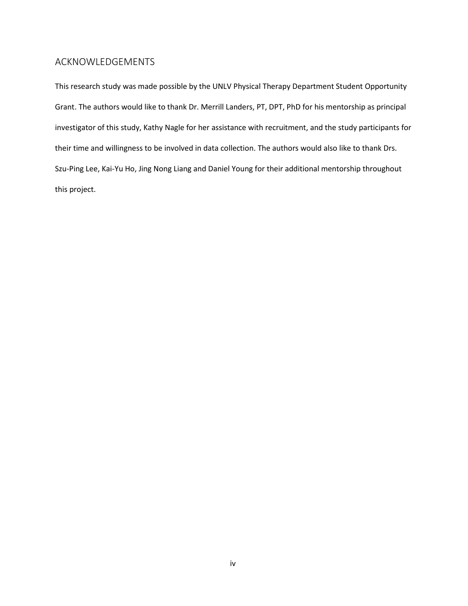#### <span id="page-5-0"></span>ACKNOWLEDGEMENTS

This research study was made possible by the UNLV Physical Therapy Department Student Opportunity Grant. The authors would like to thank Dr. Merrill Landers, PT, DPT, PhD for his mentorship as principal investigator of this study, Kathy Nagle for her assistance with recruitment, and the study participants for their time and willingness to be involved in data collection. The authors would also like to thank Drs. Szu-Ping Lee, Kai-Yu Ho, Jing Nong Liang and Daniel Young for their additional mentorship throughout this project.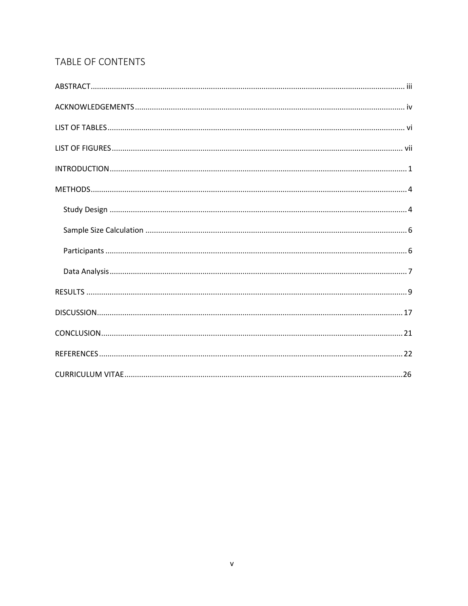## TABLE OF CONTENTS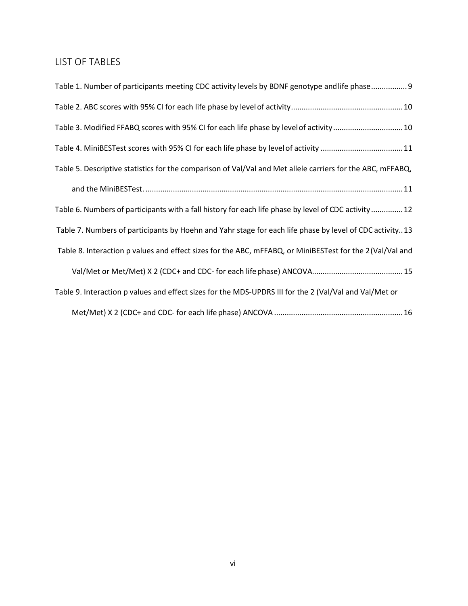## <span id="page-7-0"></span>LIST OF TABLES

| Table 1. Number of participants meeting CDC activity levels by BDNF genotype and life phase9               |
|------------------------------------------------------------------------------------------------------------|
|                                                                                                            |
| Table 3. Modified FFABQ scores with 95% CI for each life phase by level of activity10                      |
| Table 4. MiniBESTest scores with 95% CI for each life phase by level of activity  11                       |
| Table 5. Descriptive statistics for the comparison of Val/Val and Met allele carriers for the ABC, mFFABQ, |
|                                                                                                            |
| Table 6. Numbers of participants with a fall history for each life phase by level of CDC activity12        |
| Table 7. Numbers of participants by Hoehn and Yahr stage for each life phase by level of CDC activity13    |
| Table 8. Interaction p values and effect sizes for the ABC, mFFABQ, or MiniBESTest for the 2 (Val/Val and  |
|                                                                                                            |
| Table 9. Interaction p values and effect sizes for the MDS-UPDRS III for the 2 (Val/Val and Val/Met or     |
|                                                                                                            |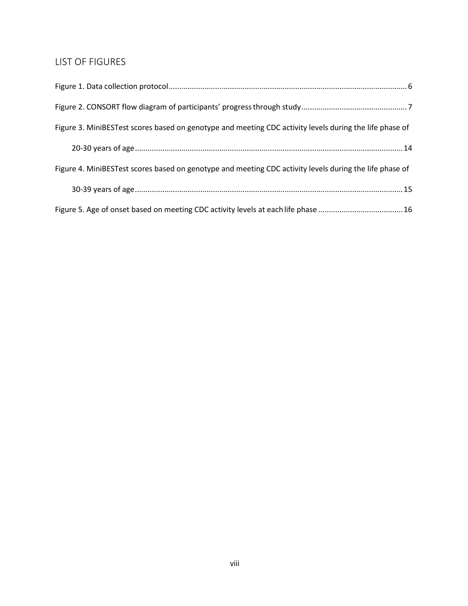## <span id="page-8-0"></span>LIST OF FIGURES

| Figure 3. MiniBESTest scores based on genotype and meeting CDC activity levels during the life phase of |
|---------------------------------------------------------------------------------------------------------|
|                                                                                                         |
| Figure 4. MiniBESTest scores based on genotype and meeting CDC activity levels during the life phase of |
|                                                                                                         |
|                                                                                                         |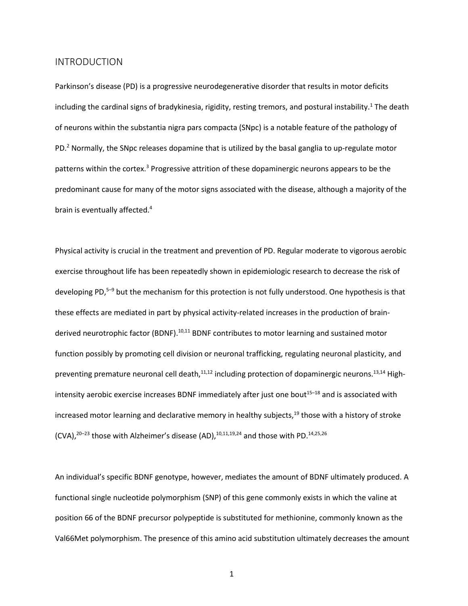#### <span id="page-9-0"></span>INTRODUCTION

Parkinson's disease (PD) is a progressive neurodegenerative disorder that results in motor deficits including the cardinal signs of bradykinesia, rigidity, resting tremors, and postural instability.<sup>1</sup> The death of neurons within the substantia nigra pars compacta (SNpc) is a notable feature of the pathology of PD.<sup>2</sup> Normally, the SNpc releases dopamine that is utilized by the basal ganglia to up-regulate motor patterns within the cortex.<sup>3</sup> Progressive attrition of these dopaminergic neurons appears to be the predominant cause for many of the motor signs associated with the disease, although a majority of the brain is eventually affected.<sup>4</sup>

Physical activity is crucial in the treatment and prevention of PD. Regular moderate to vigorous aerobic exercise throughout life has been repeatedly shown in epidemiologic research to decrease the risk of developing PD,<sup>5–9</sup> but the mechanism for this protection is not fully understood. One hypothesis is that these effects are mediated in part by physical activity-related increases in the production of brainderived neurotrophic factor (BDNF).<sup>10,11</sup> BDNF contributes to motor learning and sustained motor function possibly by promoting cell division or neuronal trafficking, regulating neuronal plasticity, and preventing premature neuronal cell death, $11,12$  including protection of dopaminergic neurons.<sup>13,14</sup> Highintensity aerobic exercise increases BDNF immediately after just one bout<sup>15-18</sup> and is associated with increased motor learning and declarative memory in healthy subjects, $19$  those with a history of stroke  $(CVA),<sup>20-23</sup>$  those with Alzheimer's disease (AD),<sup>10,11,19,24</sup> and those with PD.<sup>14,25,26</sup>

An individual's specific BDNF genotype, however, mediates the amount of BDNF ultimately produced. A functional single nucleotide polymorphism (SNP) of this gene commonly exists in which the valine at position 66 of the BDNF precursor polypeptide is substituted for methionine, commonly known as the Val66Met polymorphism. The presence of this amino acid substitution ultimately decreases the amount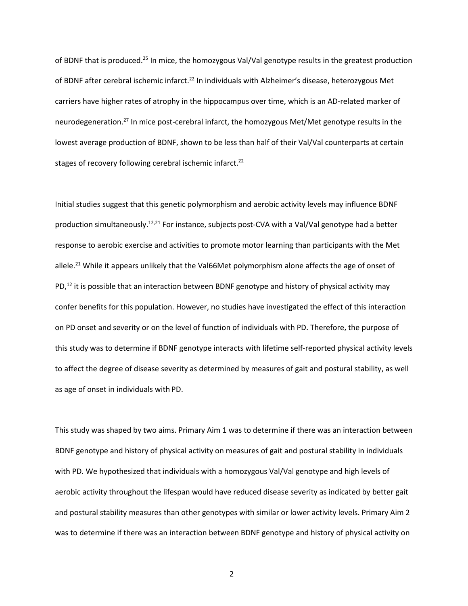of BDNF that is produced.<sup>25</sup> In mice, the homozygous Val/Val genotype results in the greatest production of BDNF after cerebral ischemic infarct.<sup>22</sup> In individuals with Alzheimer's disease, heterozygous Met carriers have higher rates of atrophy in the hippocampus over time, which is an AD-related marker of neurodegeneration.27 In mice post-cerebral infarct, the homozygous Met/Met genotype results in the lowest average production of BDNF, shown to be less than half of their Val/Val counterparts at certain stages of recovery following cerebral ischemic infarct.<sup>22</sup>

Initial studies suggest that this genetic polymorphism and aerobic activity levels may influence BDNF production simultaneously.<sup>12,21</sup> For instance, subjects post-CVA with a Val/Val genotype had a better response to aerobic exercise and activities to promote motor learning than participants with the Met allele.<sup>21</sup> While it appears unlikely that the Val66Met polymorphism alone affects the age of onset of PD,<sup>12</sup> it is possible that an interaction between BDNF genotype and history of physical activity may confer benefits for this population. However, no studies have investigated the effect of this interaction on PD onset and severity or on the level of function of individuals with PD. Therefore, the purpose of this study was to determine if BDNF genotype interacts with lifetime self-reported physical activity levels to affect the degree of disease severity as determined by measures of gait and postural stability, as well as age of onset in individuals with PD.

This study was shaped by two aims. Primary Aim 1 was to determine if there was an interaction between BDNF genotype and history of physical activity on measures of gait and postural stability in individuals with PD. We hypothesized that individuals with a homozygous Val/Val genotype and high levels of aerobic activity throughout the lifespan would have reduced disease severity as indicated by better gait and postural stability measures than other genotypes with similar or lower activity levels. Primary Aim 2 was to determine if there was an interaction between BDNF genotype and history of physical activity on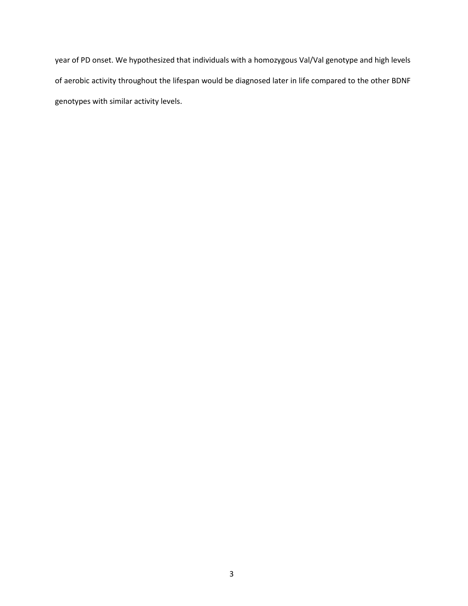year of PD onset. We hypothesized that individuals with a homozygous Val/Val genotype and high levels of aerobic activity throughout the lifespan would be diagnosed later in life compared to the other BDNF genotypes with similar activity levels.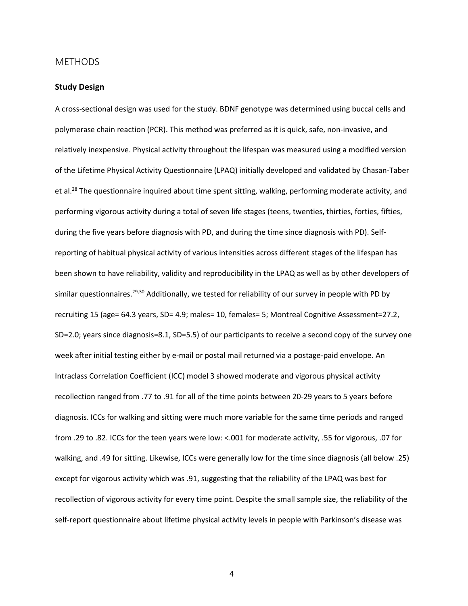#### <span id="page-12-0"></span>METHODS

#### <span id="page-12-1"></span>**Study Design**

A cross-sectional design was used for the study. BDNF genotype was determined using buccal cells and polymerase chain reaction (PCR). This method was preferred as it is quick, safe, non-invasive, and relatively inexpensive. Physical activity throughout the lifespan was measured using a modified version of the Lifetime Physical Activity Questionnaire (LPAQ) initially developed and validated by Chasan-Taber et al.<sup>28</sup> The questionnaire inquired about time spent sitting, walking, performing moderate activity, and performing vigorous activity during a total of seven life stages (teens, twenties, thirties, forties, fifties, during the five years before diagnosis with PD, and during the time since diagnosis with PD). Selfreporting of habitual physical activity of various intensities across different stages of the lifespan has been shown to have reliability, validity and reproducibility in the LPAQ as well as by other developers of similar questionnaires.<sup>29,30</sup> Additionally, we tested for reliability of our survey in people with PD by recruiting 15 (age= 64.3 years, SD= 4.9; males= 10, females= 5; Montreal Cognitive Assessment=27.2, SD=2.0; years since diagnosis=8.1, SD=5.5) of our participants to receive a second copy of the survey one week after initial testing either by e-mail or postal mail returned via a postage-paid envelope. An Intraclass Correlation Coefficient (ICC) model 3 showed moderate and vigorous physical activity recollection ranged from .77 to .91 for all of the time points between 20-29 years to 5 years before diagnosis. ICCs for walking and sitting were much more variable for the same time periods and ranged from .29 to .82. ICCs for the teen years were low: <.001 for moderate activity, .55 for vigorous, .07 for walking, and .49 for sitting. Likewise, ICCs were generally low for the time since diagnosis (all below .25) except for vigorous activity which was .91, suggesting that the reliability of the LPAQ was best for recollection of vigorous activity for every time point. Despite the small sample size, the reliability of the self-report questionnaire about lifetime physical activity levels in people with Parkinson's disease was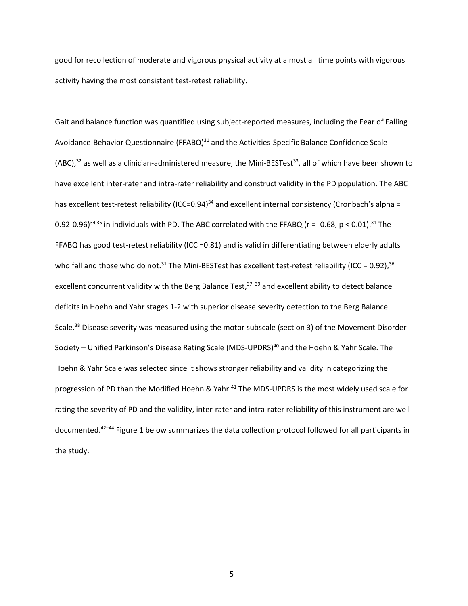good for recollection of moderate and vigorous physical activity at almost all time points with vigorous activity having the most consistent test-retest reliability.

Gait and balance function was quantified using subject-reported measures, including the Fear of Falling Avoidance-Behavior Questionnaire (FFABQ)<sup>31</sup> and the Activities-Specific Balance Confidence Scale (ABC), $32$  as well as a clinician-administered measure, the Mini-BESTest<sup>33</sup>, all of which have been shown to have excellent inter-rater and intra-rater reliability and construct validity in the PD population. The ABC has excellent test-retest reliability (ICC=0.94)<sup>34</sup> and excellent internal consistency (Cronbach's alpha = 0.92-0.96)<sup>34,35</sup> in individuals with PD. The ABC correlated with the FFABQ ( $r = -0.68$ ,  $p < 0.01$ ).<sup>31</sup> The FFABQ has good test-retest reliability (ICC =0.81) and is valid in differentiating between elderly adults who fall and those who do not.<sup>31</sup> The Mini-BESTest has excellent test-retest reliability (ICC = 0.92),<sup>36</sup> excellent concurrent validity with the Berg Balance Test,<sup>37-39</sup> and excellent ability to detect balance deficits in Hoehn and Yahr stages 1-2 with superior disease severity detection to the Berg Balance Scale.<sup>38</sup> Disease severity was measured using the motor subscale (section 3) of the Movement Disorder Society – Unified Parkinson's Disease Rating Scale (MDS-UPDRS)<sup>40</sup> and the Hoehn & Yahr Scale. The Hoehn & Yahr Scale was selected since it shows stronger reliability and validity in categorizing the progression of PD than the Modified Hoehn & Yahr.<sup>41</sup> The MDS-UPDRS is the most widely used scale for rating the severity of PD and the validity, inter-rater and intra-rater reliability of this instrument are well documented.42–44 Figure 1 below summarizes the data collection protocol followed for all participants in the study.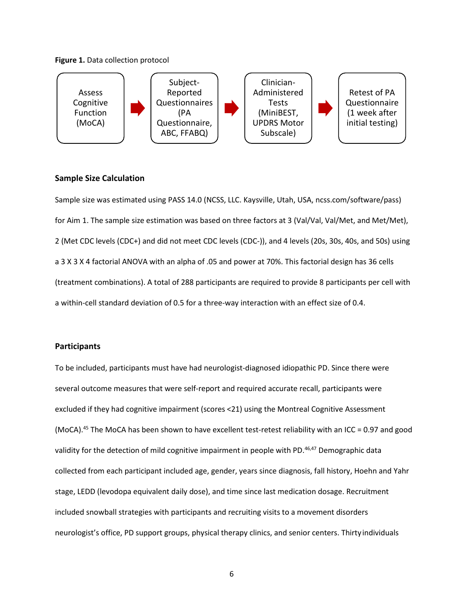#### **Figure 1.** Data collection protocol



#### <span id="page-14-0"></span>**Sample Size Calculation**

Sample size was estimated using PASS 14.0 (NCSS, LLC. Kaysville, Utah, USA, ncss.com/software/pass) for Aim 1. The sample size estimation was based on three factors at 3 (Val/Val, Val/Met, and Met/Met), 2 (Met CDC levels (CDC+) and did not meet CDC levels (CDC-)), and 4 levels (20s, 30s, 40s, and 50s) using a 3 X 3 X 4 factorial ANOVA with an alpha of .05 and power at 70%. This factorial design has 36 cells (treatment combinations). A total of 288 participants are required to provide 8 participants per cell with a within-cell standard deviation of 0.5 for a three-way interaction with an effect size of 0.4.

#### <span id="page-14-1"></span>**Participants**

To be included, participants must have had neurologist-diagnosed idiopathic PD. Since there were several outcome measures that were self-report and required accurate recall, participants were excluded if they had cognitive impairment (scores <21) using the Montreal Cognitive Assessment (MoCA).45 The MoCA has been shown to have excellent test-retest reliability with an ICC = 0.97 and good validity for the detection of mild cognitive impairment in people with PD.<sup>46,47</sup> Demographic data collected from each participant included age, gender, years since diagnosis, fall history, Hoehn and Yahr stage, LEDD (levodopa equivalent daily dose), and time since last medication dosage. Recruitment included snowball strategies with participants and recruiting visits to a movement disorders neurologist's office, PD support groups, physical therapy clinics, and senior centers. Thirty individuals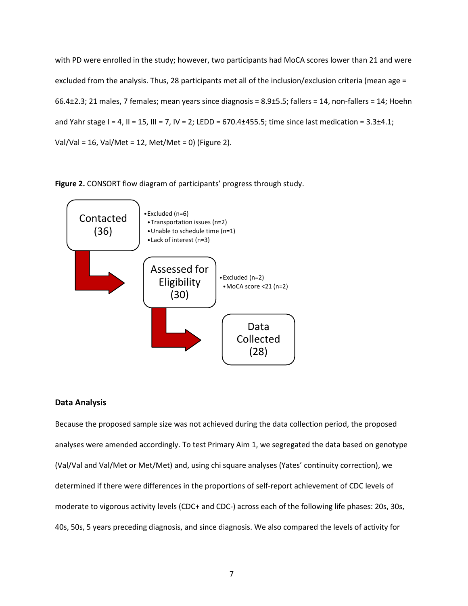with PD were enrolled in the study; however, two participants had MoCA scores lower than 21 and were excluded from the analysis. Thus, 28 participants met all of the inclusion/exclusion criteria (mean age = 66.4±2.3; 21 males, 7 females; mean years since diagnosis = 8.9±5.5; fallers = 14, non-fallers = 14; Hoehn and Yahr stage I = 4, II = 15, III = 7, IV = 2; LEDD = 670.4 $\pm$ 455.5; time since last medication = 3.3 $\pm$ 4.1; Val/Val = 16, Val/Met = 12, Met/Met = 0) (Figure 2).

**Figure 2.** CONSORT flow diagram of participants' progress through study.



#### <span id="page-15-0"></span>**Data Analysis**

Because the proposed sample size was not achieved during the data collection period, the proposed analyses were amended accordingly. To test Primary Aim 1, we segregated the data based on genotype (Val/Val and Val/Met or Met/Met) and, using chi square analyses (Yates' continuity correction), we determined if there were differences in the proportions of self-report achievement of CDC levels of moderate to vigorous activity levels (CDC+ and CDC-) across each of the following life phases: 20s, 30s, 40s, 50s, 5 years preceding diagnosis, and since diagnosis. We also compared the levels of activity for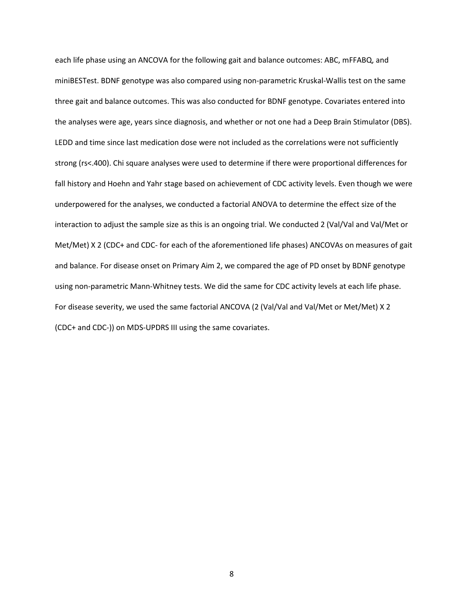each life phase using an ANCOVA for the following gait and balance outcomes: ABC, mFFABQ, and miniBESTest. BDNF genotype was also compared using non-parametric Kruskal-Wallis test on the same three gait and balance outcomes. This was also conducted for BDNF genotype. Covariates entered into the analyses were age, years since diagnosis, and whether or not one had a Deep Brain Stimulator (DBS). LEDD and time since last medication dose were not included as the correlations were not sufficiently strong (rs<.400). Chi square analyses were used to determine if there were proportional differences for fall history and Hoehn and Yahr stage based on achievement of CDC activity levels. Even though we were underpowered for the analyses, we conducted a factorial ANOVA to determine the effect size of the interaction to adjust the sample size as this is an ongoing trial. We conducted 2 (Val/Val and Val/Met or Met/Met) X 2 (CDC+ and CDC- for each of the aforementioned life phases) ANCOVAs on measures of gait and balance. For disease onset on Primary Aim 2, we compared the age of PD onset by BDNF genotype using non-parametric Mann-Whitney tests. We did the same for CDC activity levels at each life phase. For disease severity, we used the same factorial ANCOVA (2 (Val/Val and Val/Met or Met/Met) X 2 (CDC+ and CDC-)) on MDS-UPDRS III using the same covariates.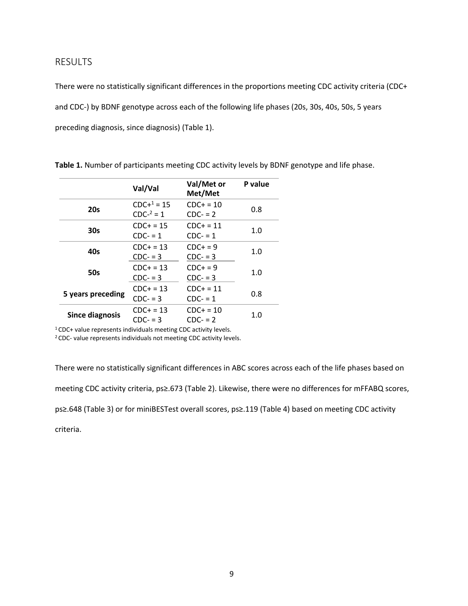#### <span id="page-17-0"></span>RESULTS

There were no statistically significant differences in the proportions meeting CDC activity criteria (CDC+ and CDC-) by BDNF genotype across each of the following life phases (20s, 30s, 40s, 50s, 5 years preceding diagnosis, since diagnosis) (Table 1).

|                        | Val/Val                    | Val/Met or<br>Met/Met     | P value |  |
|------------------------|----------------------------|---------------------------|---------|--|
| 20s                    | $CDC+1 = 15$<br>$CDC2 = 1$ | $CDC + = 10$<br>$CDC = 2$ | 0.8     |  |
| 30s                    | $CDC+ = 15$<br>$CDC = 1$   | $CDC + = 11$<br>$CDC = 1$ | 1.0     |  |
| 40s                    | $CDC+ = 13$<br>$CDC = 3$   | $CDC+ = 9$<br>$CDC = 3$   | 1.0     |  |
| <b>50s</b>             | $CDC+ = 13$<br>$CDC = 3$   | $CDC+ = 9$<br>$CDC = 3$   | 1.0     |  |
| 5 years preceding      | $CDC+ = 13$<br>$CDC = 3$   | $CDC+ = 11$<br>$CDC = 1$  | 0.8     |  |
| <b>Since diagnosis</b> | $CDC + = 13$<br>$CDC = 3$  | $CDC+ = 10$<br>$CDC = 2$  | 1.0     |  |

**Table 1.** Number of participants meeting CDC activity levels by BDNF genotype and life phase.

1 CDC+ value represents individuals meeting CDC activity levels.

2 CDC- value represents individuals not meeting CDC activity levels.

There were no statistically significant differences in ABC scores across each of the life phases based on meeting CDC activity criteria, ps≥.673 (Table 2). Likewise, there were no differences for mFFABQ scores, ps≥.648 (Table 3) or for miniBESTest overall scores, ps≥.119 (Table 4) based on meeting CDC activity criteria.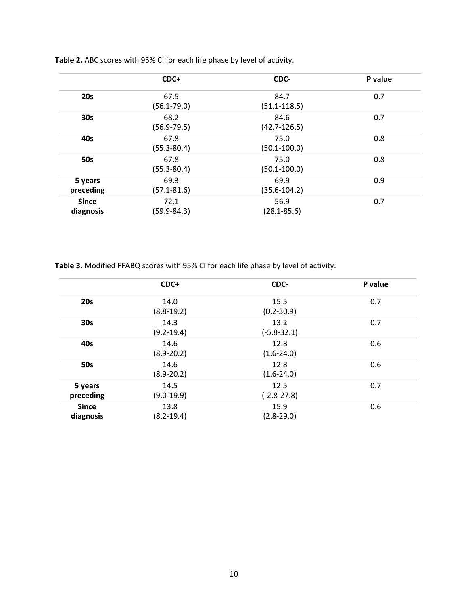|                           | CDC+                    | CDC-                     | P value |
|---------------------------|-------------------------|--------------------------|---------|
| <b>20s</b>                | 67.5<br>$(56.1 - 79.0)$ | 84.7<br>$(51.1 - 118.5)$ | 0.7     |
| 30 <sub>s</sub>           | 68.2<br>$(56.9 - 79.5)$ | 84.6<br>$(42.7 - 126.5)$ | 0.7     |
| 40s                       | 67.8<br>$(55.3 - 80.4)$ | 75.0<br>$(50.1 - 100.0)$ | 0.8     |
| <b>50s</b>                | 67.8<br>$(55.3 - 80.4)$ | 75.0<br>$(50.1 - 100.0)$ | 0.8     |
| 5 years<br>preceding      | 69.3<br>$(57.1 - 81.6)$ | 69.9<br>$(35.6 - 104.2)$ | 0.9     |
| <b>Since</b><br>diagnosis | 72.1<br>(59.9-84.3)     | 56.9<br>$(28.1 - 85.6)$  | 0.7     |

**Table 2.** ABC scores with 95% CI for each life phase by level of activity.

**Table 3.** Modified FFABQ scores with 95% CI for each life phase by level of activity.

|                           | CDC+                   | CDC-                    | P value |
|---------------------------|------------------------|-------------------------|---------|
| <b>20s</b>                | 14.0<br>$(8.8-19.2)$   | 15.5<br>$(0.2 - 30.9)$  | 0.7     |
| 30 <sub>s</sub>           | 14.3<br>$(9.2 - 19.4)$ | 13.2<br>$(-5.8 - 32.1)$ | 0.7     |
| 40s                       | 14.6<br>$(8.9 - 20.2)$ | 12.8<br>$(1.6 - 24.0)$  | 0.6     |
| <b>50s</b>                | 14.6<br>$(8.9 - 20.2)$ | 12.8<br>$(1.6 - 24.0)$  | 0.6     |
| 5 years<br>preceding      | 14.5<br>$(9.0-19.9)$   | 12.5<br>$(-2.8 - 27.8)$ | 0.7     |
| <b>Since</b><br>diagnosis | 13.8<br>$(8.2 - 19.4)$ | 15.9<br>$(2.8 - 29.0)$  | 0.6     |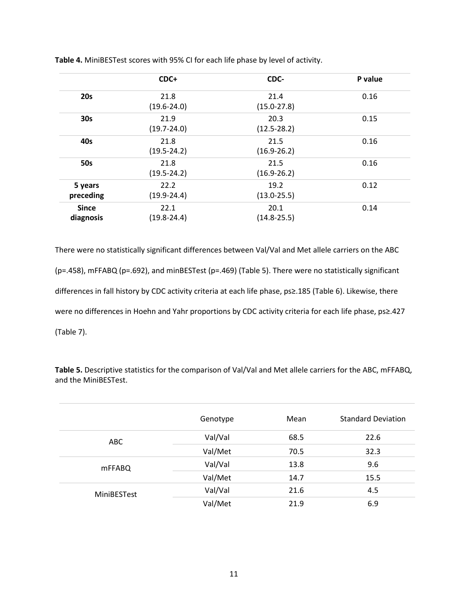|                           | CDC+                    | CDC-                    | P value |
|---------------------------|-------------------------|-------------------------|---------|
| <b>20s</b>                | 21.8<br>$(19.6 - 24.0)$ | 21.4<br>$(15.0 - 27.8)$ | 0.16    |
| 30 <sub>s</sub>           | 21.9<br>$(19.7 - 24.0)$ | 20.3<br>$(12.5 - 28.2)$ | 0.15    |
| 40s                       | 21.8<br>$(19.5 - 24.2)$ | 21.5<br>$(16.9 - 26.2)$ | 0.16    |
| <b>50s</b>                | 21.8<br>$(19.5 - 24.2)$ | 21.5<br>$(16.9 - 26.2)$ | 0.16    |
| 5 years<br>preceding      | 22.2<br>$(19.9 - 24.4)$ | 19.2<br>$(13.0 - 25.5)$ | 0.12    |
| <b>Since</b><br>diagnosis | 22.1<br>$(19.8 - 24.4)$ | 20.1<br>$(14.8 - 25.5)$ | 0.14    |

**Table 4.** MiniBESTest scores with 95% CI for each life phase by level of activity.

There were no statistically significant differences between Val/Val and Met allele carriers on the ABC (p=.458), mFFABQ (p=.692), and minBESTest (p=.469) (Table 5). There were no statistically significant differences in fall history by CDC activity criteria at each life phase, ps≥.185 (Table 6). Likewise, there were no differences in Hoehn and Yahr proportions by CDC activity criteria for each life phase, ps≥.427 (Table 7).

**Table 5.** Descriptive statistics for the comparison of Val/Val and Met allele carriers for the ABC, mFFABQ, and the MiniBESTest.

|                    | Genotype | Mean | <b>Standard Deviation</b> |
|--------------------|----------|------|---------------------------|
| ABC                | Val/Val  | 68.5 | 22.6                      |
|                    | Val/Met  | 70.5 | 32.3                      |
| mFFABQ             | Val/Val  | 13.8 | 9.6                       |
|                    | Val/Met  | 14.7 | 15.5                      |
| <b>MiniBESTest</b> | Val/Val  | 21.6 | 4.5                       |
|                    | Val/Met  | 21.9 | 6.9                       |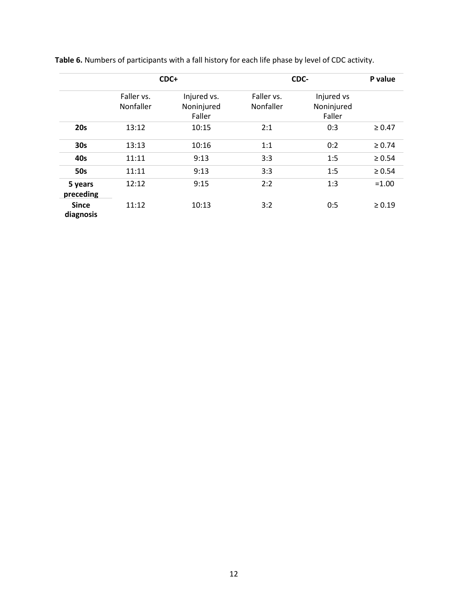|                           | CDC+                           |                                     |                                | CDC-                               | P value     |
|---------------------------|--------------------------------|-------------------------------------|--------------------------------|------------------------------------|-------------|
|                           | Faller vs.<br><b>Nonfaller</b> | Injured vs.<br>Noninjured<br>Faller | Faller vs.<br><b>Nonfaller</b> | Injured vs<br>Noninjured<br>Faller |             |
| 20s                       | 13:12                          | 10:15                               | 2:1                            | 0:3                                | $\geq 0.47$ |
| 30 <sub>s</sub>           | 13:13                          | 10:16                               | 1:1                            | 0:2                                | $\ge 0.74$  |
| 40s                       | 11:11                          | 9:13                                | 3:3                            | 1:5                                | $\geq 0.54$ |
| <b>50s</b>                | 11:11                          | 9:13                                | 3:3                            | 1:5                                | $\geq 0.54$ |
| 5 years<br>preceding      | 12:12                          | 9:15                                | 2:2                            | 1:3                                | $=1.00$     |
| <b>Since</b><br>diagnosis | 11:12                          | 10:13                               | 3:2                            | 0:5                                | $\geq 0.19$ |

**Table 6.** Numbers of participants with a fall history for each life phase by level of CDC activity.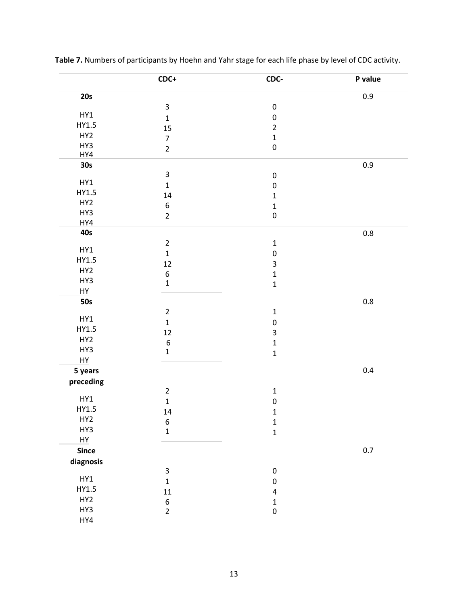|                 | $CDC+$                    | CDC-         | P value |
|-----------------|---------------------------|--------------|---------|
| 20s             |                           |              | 0.9     |
|                 | $\mathsf{3}$              | $\pmb{0}$    |         |
| HY1             | $\mathbf 1$               | $\mathbf 0$  |         |
| HY1.5           | 15                        | $\mathbf 2$  |         |
| HY <sub>2</sub> | $\overline{7}$            | $\mathbf 1$  |         |
| HY3             | $\overline{2}$            | $\pmb{0}$    |         |
| HY4             |                           |              |         |
| 30s             |                           |              | $0.9\,$ |
|                 | 3                         | $\pmb{0}$    |         |
| HY1             | $\mathbf 1$               | $\pmb{0}$    |         |
| HY1.5           | 14                        | $\mathbf 1$  |         |
| HY <sub>2</sub> | $\boldsymbol{6}$          | $\mathbf{1}$ |         |
| HY3             | $\overline{2}$            | $\pmb{0}$    |         |
| HY4             |                           |              |         |
| 40s             |                           |              | $0.8\,$ |
|                 | $\mathbf 2$               | $\mathbf 1$  |         |
| HY1             | $\mathbf 1$               | $\pmb{0}$    |         |
| HY1.5           | 12                        | 3            |         |
| HY <sub>2</sub> | $\boldsymbol{6}$          | $\mathbf{1}$ |         |
| HY3             | $\mathbf 1$               | $\mathbf{1}$ |         |
| HY              |                           |              |         |
| <b>50s</b>      |                           |              | $0.8\,$ |
|                 | $\overline{2}$            | $\mathbf 1$  |         |
| HY1             | $\mathbf{1}$              | $\mathbf 0$  |         |
| HY1.5           | 12                        | 3            |         |
| HY <sub>2</sub> | $\boldsymbol{6}$          | $\mathbf 1$  |         |
| HY3             | $\mathbf 1$               | $\mathbf 1$  |         |
| HY              |                           |              |         |
| 5 years         |                           |              | 0.4     |
| preceding       |                           |              |         |
|                 | $\mathbf 2$               | $\mathbf{1}$ |         |
| HY1             | $\mathbf{1}$              | $\mathbf 0$  |         |
| HY1.5           | 14                        | $\mathbf{1}$ |         |
| HY <sub>2</sub> | $\boldsymbol{6}$          | $\mathbf{1}$ |         |
| HY3             | $\mathbf{1}$              | $\mathbf{1}$ |         |
| HY              |                           |              |         |
| <b>Since</b>    |                           |              | $0.7\,$ |
| diagnosis       |                           |              |         |
|                 | $\ensuremath{\mathsf{3}}$ | ${\bf 0}$    |         |
| HY1             | $\mathbf{1}$              | ${\bf 0}$    |         |
| HY1.5           | ${\bf 11}$                | $\pmb{4}$    |         |
| HY <sub>2</sub> | $\boldsymbol{6}$          | $\mathbf 1$  |         |
| HY3             | $\overline{2}$            | $\pmb{0}$    |         |
| HY4             |                           |              |         |

**Table 7.** Numbers of participants by Hoehn and Yahr stage for each life phase by level of CDC activity.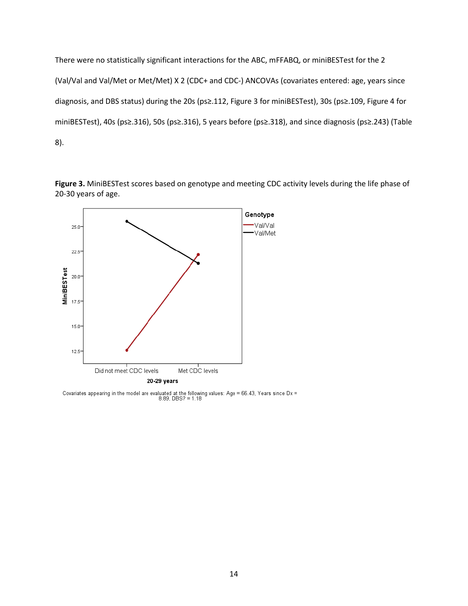There were no statistically significant interactions for the ABC, mFFABQ, or miniBESTest for the 2 (Val/Val and Val/Met or Met/Met) X 2 (CDC+ and CDC-) ANCOVAs (covariates entered: age, years since diagnosis, and DBS status) during the 20s (ps≥.112, Figure 3 for miniBESTest), 30s (ps≥.109, Figure 4 for miniBESTest), 40s (ps≥.316), 50s (ps≥.316), 5 years before (ps≥.318), and since diagnosis (ps≥.243) (Table 8).

**Figure 3.** MiniBESTest scores based on genotype and meeting CDC activity levels during the life phase of 20-30 years of age.



Covariates appearing in the model are evaluated at the following values: Age = 66.43, Years since Dx = 8.89, DBS? = 1.18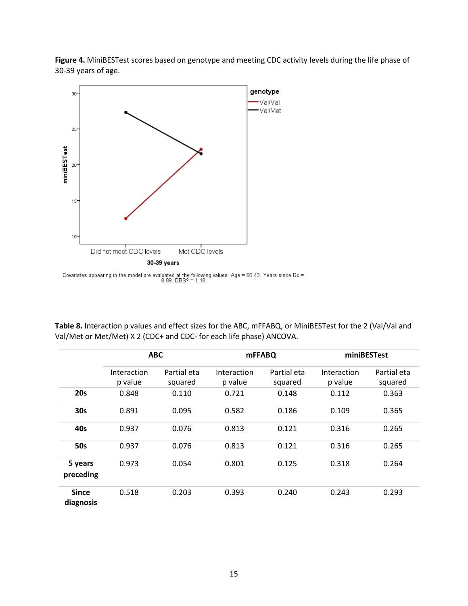**Figure 4.** MiniBESTest scores based on genotype and meeting CDC activity levels during the life phase of 30-39 years of age.



Covariates appearing in the model are evaluated at the following values: Age = 66.43, Years since Dx =  $8.89$ , DBS? = 1.18

**Table 8.** Interaction p values and effect sizes for the ABC, mFFABQ, or MiniBESTest for the 2 (Val/Val and Val/Met or Met/Met) X 2 (CDC+ and CDC- for each life phase) ANCOVA.

|                           |                        | <b>ABC</b>             |                        | <b>mFFABQ</b>          |                        | miniBESTest            |
|---------------------------|------------------------|------------------------|------------------------|------------------------|------------------------|------------------------|
|                           | Interaction<br>p value | Partial eta<br>squared | Interaction<br>p value | Partial eta<br>squared | Interaction<br>p value | Partial eta<br>squared |
| 20s                       | 0.848                  | 0.110                  | 0.721                  | 0.148                  | 0.112                  | 0.363                  |
| 30s                       | 0.891                  | 0.095                  | 0.582                  | 0.186                  | 0.109                  | 0.365                  |
| 40s                       | 0.937                  | 0.076                  | 0.813                  | 0.121                  | 0.316                  | 0.265                  |
| <b>50s</b>                | 0.937                  | 0.076                  | 0.813                  | 0.121                  | 0.316                  | 0.265                  |
| 5 years<br>preceding      | 0.973                  | 0.054                  | 0.801                  | 0.125                  | 0.318                  | 0.264                  |
| <b>Since</b><br>diagnosis | 0.518                  | 0.203                  | 0.393                  | 0.240                  | 0.243                  | 0.293                  |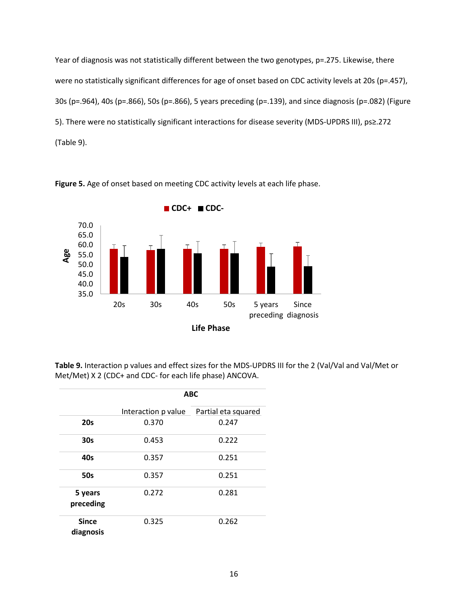Year of diagnosis was not statistically different between the two genotypes, p=.275. Likewise, there were no statistically significant differences for age of onset based on CDC activity levels at 20s (p=.457), 30s (p=.964), 40s (p=.866), 50s (p=.866), 5 years preceding (p=.139), and since diagnosis (p=.082) (Figure 5). There were no statistically significant interactions for disease severity (MDS-UPDRS III), ps≥.272 (Table 9).



**Figure 5.** Age of onset based on meeting CDC activity levels at each life phase.

**Table 9.** Interaction p values and effect sizes for the MDS-UPDRS III for the 2 (Val/Val and Val/Met or Met/Met) X 2 (CDC+ and CDC- for each life phase) ANCOVA.

|                           | <b>ABC</b>          |                     |  |
|---------------------------|---------------------|---------------------|--|
|                           | Interaction p value | Partial eta squared |  |
| 20s                       | 0.370               | 0.247               |  |
| 30 <sub>s</sub>           | 0.453               | 0.222               |  |
| 40s                       | 0.357               | 0.251               |  |
| <b>50s</b>                | 0.357               | 0.251               |  |
| 5 years<br>preceding      | 0.272               | 0.281               |  |
| <b>Since</b><br>diagnosis | 0.325               | 0.262               |  |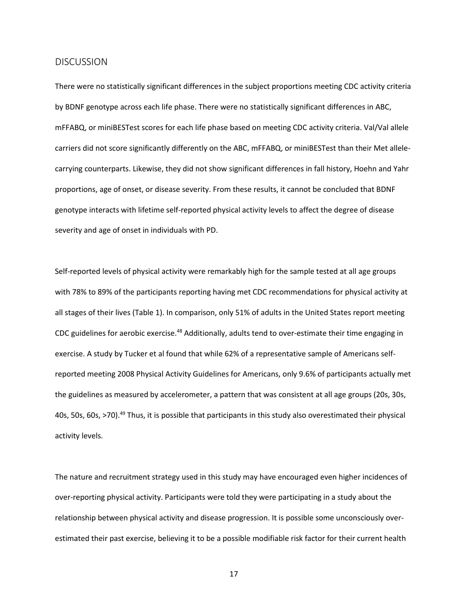#### <span id="page-25-0"></span>DISCUSSION

There were no statistically significant differences in the subject proportions meeting CDC activity criteria by BDNF genotype across each life phase. There were no statistically significant differences in ABC, mFFABQ, or miniBESTest scores for each life phase based on meeting CDC activity criteria. Val/Val allele carriers did not score significantly differently on the ABC, mFFABQ, or miniBESTest than their Met allelecarrying counterparts. Likewise, they did not show significant differences in fall history, Hoehn and Yahr proportions, age of onset, or disease severity. From these results, it cannot be concluded that BDNF genotype interacts with lifetime self-reported physical activity levels to affect the degree of disease severity and age of onset in individuals with PD.

Self-reported levels of physical activity were remarkably high for the sample tested at all age groups with 78% to 89% of the participants reporting having met CDC recommendations for physical activity at all stages of their lives (Table 1). In comparison, only 51% of adults in the United States report meeting CDC guidelines for aerobic exercise.<sup>48</sup> Additionally, adults tend to over-estimate their time engaging in exercise. A study by Tucker et al found that while 62% of a representative sample of Americans selfreported meeting 2008 Physical Activity Guidelines for Americans, only 9.6% of participants actually met the guidelines as measured by accelerometer, a pattern that was consistent at all age groups (20s, 30s, 40s, 50s, 60s, >70).49 Thus, it is possible that participants in this study also overestimated their physical activity levels.

The nature and recruitment strategy used in this study may have encouraged even higher incidences of over-reporting physical activity. Participants were told they were participating in a study about the relationship between physical activity and disease progression. It is possible some unconsciously overestimated their past exercise, believing it to be a possible modifiable risk factor for their current health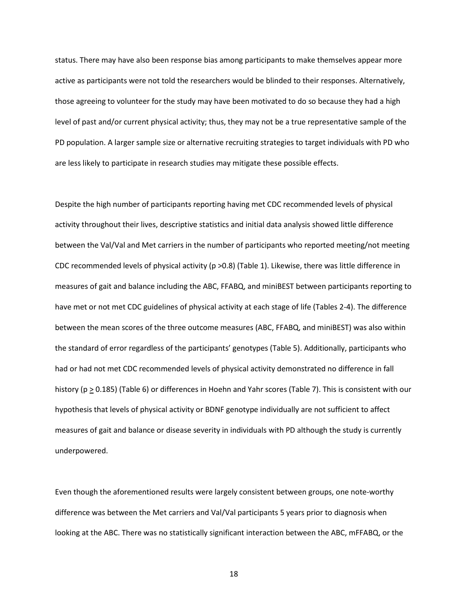status. There may have also been response bias among participants to make themselves appear more active as participants were not told the researchers would be blinded to their responses. Alternatively, those agreeing to volunteer for the study may have been motivated to do so because they had a high level of past and/or current physical activity; thus, they may not be a true representative sample of the PD population. A larger sample size or alternative recruiting strategies to target individuals with PD who are less likely to participate in research studies may mitigate these possible effects.

Despite the high number of participants reporting having met CDC recommended levels of physical activity throughout their lives, descriptive statistics and initial data analysis showed little difference between the Val/Val and Met carriers in the number of participants who reported meeting/not meeting CDC recommended levels of physical activity (p >0.8) (Table 1). Likewise, there was little difference in measures of gait and balance including the ABC, FFABQ, and miniBEST between participants reporting to have met or not met CDC guidelines of physical activity at each stage of life (Tables 2-4). The difference between the mean scores of the three outcome measures (ABC, FFABQ, and miniBEST) was also within the standard of error regardless of the participants' genotypes (Table 5). Additionally, participants who had or had not met CDC recommended levels of physical activity demonstrated no difference in fall history (p > 0.185) (Table 6) or differences in Hoehn and Yahr scores (Table 7). This is consistent with our hypothesis that levels of physical activity or BDNF genotype individually are not sufficient to affect measures of gait and balance or disease severity in individuals with PD although the study is currently underpowered.

Even though the aforementioned results were largely consistent between groups, one note-worthy difference was between the Met carriers and Val/Val participants 5 years prior to diagnosis when looking at the ABC. There was no statistically significant interaction between the ABC, mFFABQ, or the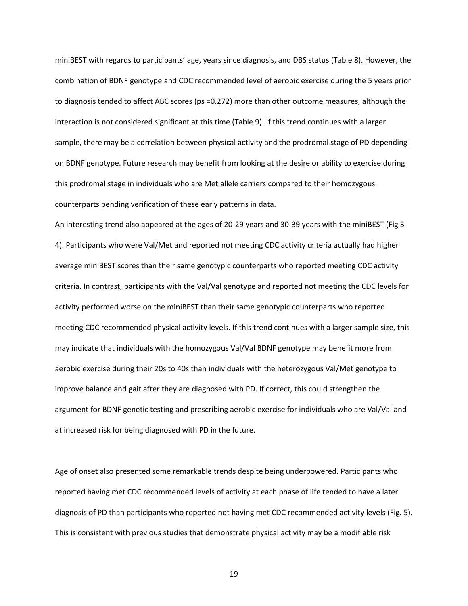miniBEST with regards to participants' age, years since diagnosis, and DBS status (Table 8). However, the combination of BDNF genotype and CDC recommended level of aerobic exercise during the 5 years prior to diagnosis tended to affect ABC scores (ps =0.272) more than other outcome measures, although the interaction is not considered significant at this time (Table 9). If this trend continues with a larger sample, there may be a correlation between physical activity and the prodromal stage of PD depending on BDNF genotype. Future research may benefit from looking at the desire or ability to exercise during this prodromal stage in individuals who are Met allele carriers compared to their homozygous counterparts pending verification of these early patterns in data.

An interesting trend also appeared at the ages of 20-29 years and 30-39 years with the miniBEST (Fig 3- 4). Participants who were Val/Met and reported not meeting CDC activity criteria actually had higher average miniBEST scores than their same genotypic counterparts who reported meeting CDC activity criteria. In contrast, participants with the Val/Val genotype and reported not meeting the CDC levels for activity performed worse on the miniBEST than their same genotypic counterparts who reported meeting CDC recommended physical activity levels. If this trend continues with a larger sample size, this may indicate that individuals with the homozygous Val/Val BDNF genotype may benefit more from aerobic exercise during their 20s to 40s than individuals with the heterozygous Val/Met genotype to improve balance and gait after they are diagnosed with PD. If correct, this could strengthen the argument for BDNF genetic testing and prescribing aerobic exercise for individuals who are Val/Val and at increased risk for being diagnosed with PD in the future.

Age of onset also presented some remarkable trends despite being underpowered. Participants who reported having met CDC recommended levels of activity at each phase of life tended to have a later diagnosis of PD than participants who reported not having met CDC recommended activity levels (Fig. 5). This is consistent with previous studies that demonstrate physical activity may be a modifiable risk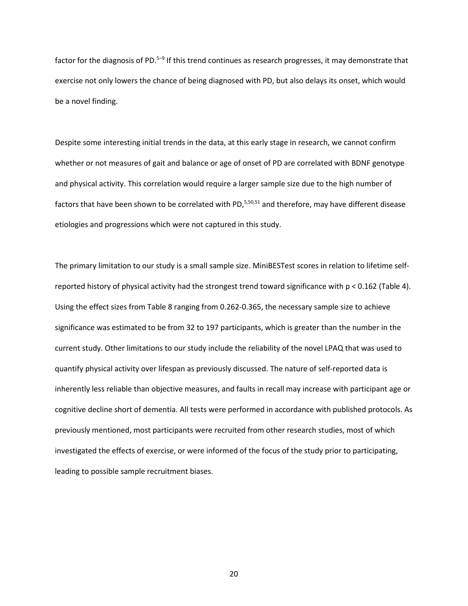factor for the diagnosis of PD. $5-9$  If this trend continues as research progresses, it may demonstrate that exercise not only lowers the chance of being diagnosed with PD, but also delays its onset, which would be a novel finding.

Despite some interesting initial trends in the data, at this early stage in research, we cannot confirm whether or not measures of gait and balance or age of onset of PD are correlated with BDNF genotype and physical activity. This correlation would require a larger sample size due to the high number of factors that have been shown to be correlated with PD, $5,50,51$  and therefore, may have different disease etiologies and progressions which were not captured in this study.

The primary limitation to our study is a small sample size. MiniBESTest scores in relation to lifetime selfreported history of physical activity had the strongest trend toward significance with p < 0.162 (Table 4). Using the effect sizes from Table 8 ranging from 0.262-0.365, the necessary sample size to achieve significance was estimated to be from 32 to 197 participants, which is greater than the number in the current study. Other limitations to our study include the reliability of the novel LPAQ that was used to quantify physical activity over lifespan as previously discussed. The nature of self-reported data is inherently less reliable than objective measures, and faults in recall may increase with participant age or cognitive decline short of dementia. All tests were performed in accordance with published protocols. As previously mentioned, most participants were recruited from other research studies, most of which investigated the effects of exercise, or were informed of the focus of the study prior to participating, leading to possible sample recruitment biases.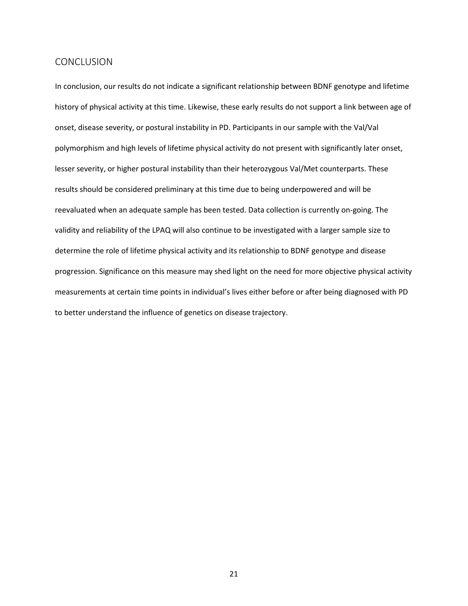#### <span id="page-29-0"></span>CONCLUSION

In conclusion, our results do not indicate a significant relationship between BDNF genotype and lifetime history of physical activity at this time. Likewise, these early results do not support a link between age of onset, disease severity, or postural instability in PD. Participants in our sample with the Val/Val polymorphism and high levels of lifetime physical activity do not present with significantly later onset, lesser severity, or higher postural instability than their heterozygous Val/Met counterparts. These results should be considered preliminary at this time due to being underpowered and will be reevaluated when an adequate sample has been tested. Data collection is currently on-going. The validity and reliability of the LPAQ will also continue to be investigated with a larger sample size to determine the role of lifetime physical activity and its relationship to BDNF genotype and disease progression. Significance on this measure may shed light on the need for more objective physical activity measurements at certain time points in individual's lives either before or after being diagnosed with PD to better understand the influence of genetics on disease trajectory.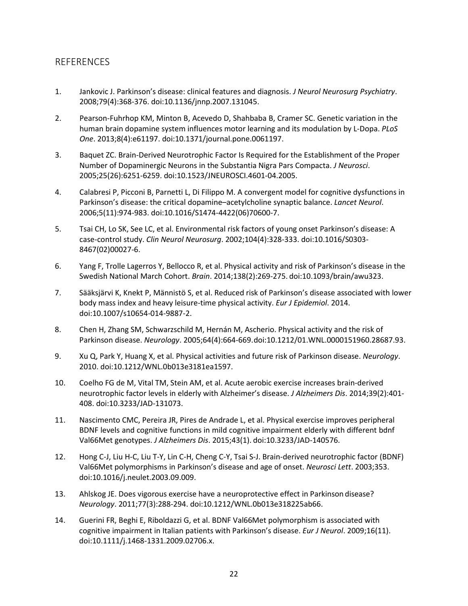## <span id="page-30-0"></span>**REFERENCES**

- 1. Jankovic J. Parkinson's disease: clinical features and diagnosis. *J Neurol Neurosurg Psychiatry*. 2008;79(4):368-376. doi:10.1136/jnnp.2007.131045.
- 2. Pearson-Fuhrhop KM, Minton B, Acevedo D, Shahbaba B, Cramer SC. Genetic variation in the human brain dopamine system influences motor learning and its modulation by L-Dopa. *PLoS One*. 2013;8(4):e61197. doi:10.1371/journal.pone.0061197.
- 3. Baquet ZC. Brain-Derived Neurotrophic Factor Is Required for the Establishment of the Proper Number of Dopaminergic Neurons in the Substantia Nigra Pars Compacta. *J Neurosci*. 2005;25(26):6251-6259. doi:10.1523/JNEUROSCI.4601-04.2005.
- 4. Calabresi P, Picconi B, Parnetti L, Di Filippo M. A convergent model for cognitive dysfunctions in Parkinson's disease: the critical dopamine–acetylcholine synaptic balance. *Lancet Neurol*. 2006;5(11):974-983. doi:10.1016/S1474-4422(06)70600-7.
- 5. Tsai CH, Lo SK, See LC, et al. Environmental risk factors of young onset Parkinson's disease: A case-control study. *Clin Neurol Neurosurg*. 2002;104(4):328-333. doi:10.1016/S0303- 8467(02)00027-6.
- 6. Yang F, Trolle Lagerros Y, Bellocco R, et al. Physical activity and risk of Parkinson's disease in the Swedish National March Cohort. *Brain*. 2014;138(2):269-275. doi:10.1093/brain/awu323.
- 7. Sääksjärvi K, Knekt P, Männistö S, et al. Reduced risk of Parkinson's disease associated with lower body mass index and heavy leisure-time physical activity. *Eur J Epidemiol*. 2014. doi:10.1007/s10654-014-9887-2.
- 8. Chen H, Zhang SM, Schwarzschild M, Hernán M, Ascherio. Physical activity and the risk of Parkinson disease. *Neurology*. 2005;64(4):664-669.doi:10.1212/01.WNL.0000151960.28687.93.
- 9. Xu Q, Park Y, Huang X, et al. Physical activities and future risk of Parkinson disease. *Neurology*. 2010. doi:10.1212/WNL.0b013e3181ea1597.
- 10. Coelho FG de M, Vital TM, Stein AM, et al. Acute aerobic exercise increases brain-derived neurotrophic factor levels in elderly with Alzheimer's disease. *J Alzheimers Dis*. 2014;39(2):401- 408. doi:10.3233/JAD-131073.
- 11. Nascimento CMC, Pereira JR, Pires de Andrade L, et al. Physical exercise improves peripheral BDNF levels and cognitive functions in mild cognitive impairment elderly with different bdnf Val66Met genotypes. *J Alzheimers Dis*. 2015;43(1). doi:10.3233/JAD-140576.
- 12. Hong C-J, Liu H-C, Liu T-Y, Lin C-H, Cheng C-Y, Tsai S-J. Brain-derived neurotrophic factor (BDNF) Val66Met polymorphisms in Parkinson's disease and age of onset. *Neurosci Lett*. 2003;353. doi:10.1016/j.neulet.2003.09.009.
- 13. Ahlskog JE. Does vigorous exercise have a neuroprotective effect in Parkinson disease? *Neurology*. 2011;77(3):288-294. doi:10.1212/WNL.0b013e318225ab66.
- 14. Guerini FR, Beghi E, Riboldazzi G, et al. BDNF Val66Met polymorphism is associated with cognitive impairment in Italian patients with Parkinson's disease. *Eur J Neurol*. 2009;16(11). doi:10.1111/j.1468-1331.2009.02706.x.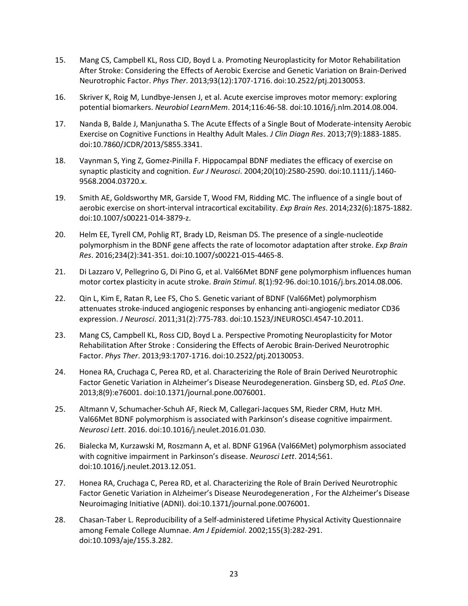- 15. Mang CS, Campbell KL, Ross CJD, Boyd L a. Promoting Neuroplasticity for Motor Rehabilitation After Stroke: Considering the Effects of Aerobic Exercise and Genetic Variation on Brain-Derived Neurotrophic Factor. *Phys Ther*. 2013;93(12):1707-1716. doi:10.2522/ptj.20130053.
- 16. Skriver K, Roig M, Lundbye-Jensen J, et al. Acute exercise improves motor memory: exploring potential biomarkers. *Neurobiol LearnMem*. 2014;116:46-58. doi:10.1016/j.nlm.2014.08.004.
- 17. Nanda B, Balde J, Manjunatha S. The Acute Effects of a Single Bout of Moderate-intensity Aerobic Exercise on Cognitive Functions in Healthy Adult Males. *J Clin Diagn Res*. 2013;7(9):1883-1885. doi:10.7860/JCDR/2013/5855.3341.
- 18. Vaynman S, Ying Z, Gomez-Pinilla F. Hippocampal BDNF mediates the efficacy of exercise on synaptic plasticity and cognition. *Eur J Neurosci*. 2004;20(10):2580-2590. doi:10.1111/j.1460- 9568.2004.03720.x.
- 19. Smith AE, Goldsworthy MR, Garside T, Wood FM, Ridding MC. The influence of a single bout of aerobic exercise on short-interval intracortical excitability. *Exp Brain Res*. 2014;232(6):1875-1882. doi:10.1007/s00221-014-3879-z.
- 20. Helm EE, Tyrell CM, Pohlig RT, Brady LD, Reisman DS. The presence of a single-nucleotide polymorphism in the BDNF gene affects the rate of locomotor adaptation after stroke. *Exp Brain Res*. 2016;234(2):341-351. doi:10.1007/s00221-015-4465-8.
- 21. Di Lazzaro V, Pellegrino G, Di Pino G, et al. Val66Met BDNF gene polymorphism influences human motor cortex plasticity in acute stroke. *Brain Stimul*. 8(1):92-96.doi:10.1016/j.brs.2014.08.006.
- 22. Qin L, Kim E, Ratan R, Lee FS, Cho S. Genetic variant of BDNF (Val66Met) polymorphism attenuates stroke-induced angiogenic responses by enhancing anti-angiogenic mediator CD36 expression. *J Neurosci*. 2011;31(2):775-783. doi:10.1523/JNEUROSCI.4547-10.2011.
- 23. Mang CS, Campbell KL, Ross CJD, Boyd L a. Perspective Promoting Neuroplasticity for Motor Rehabilitation After Stroke : Considering the Effects of Aerobic Brain-Derived Neurotrophic Factor. *Phys Ther*. 2013;93:1707-1716. doi:10.2522/ptj.20130053.
- 24. Honea RA, Cruchaga C, Perea RD, et al. Characterizing the Role of Brain Derived Neurotrophic Factor Genetic Variation in Alzheimer's Disease Neurodegeneration. Ginsberg SD, ed. *PLoS One*. 2013;8(9):e76001. doi:10.1371/journal.pone.0076001.
- 25. Altmann V, Schumacher-Schuh AF, Rieck M, Callegari-Jacques SM, Rieder CRM, Hutz MH. Val66Met BDNF polymorphism is associated with Parkinson's disease cognitive impairment. *Neurosci Lett*. 2016. doi:10.1016/j.neulet.2016.01.030.
- 26. Bialecka M, Kurzawski M, Roszmann A, et al. BDNF G196A (Val66Met) polymorphism associated with cognitive impairment in Parkinson's disease. *Neurosci Lett*. 2014;561. doi:10.1016/j.neulet.2013.12.051.
- 27. Honea RA, Cruchaga C, Perea RD, et al. Characterizing the Role of Brain Derived Neurotrophic Factor Genetic Variation in Alzheimer's Disease Neurodegeneration , For the Alzheimer's Disease Neuroimaging Initiative (ADNI). doi:10.1371/journal.pone.0076001.
- 28. Chasan-Taber L. Reproducibility of a Self-administered Lifetime Physical Activity Questionnaire among Female College Alumnae. *Am J Epidemiol*. 2002;155(3):282-291. doi:10.1093/aje/155.3.282.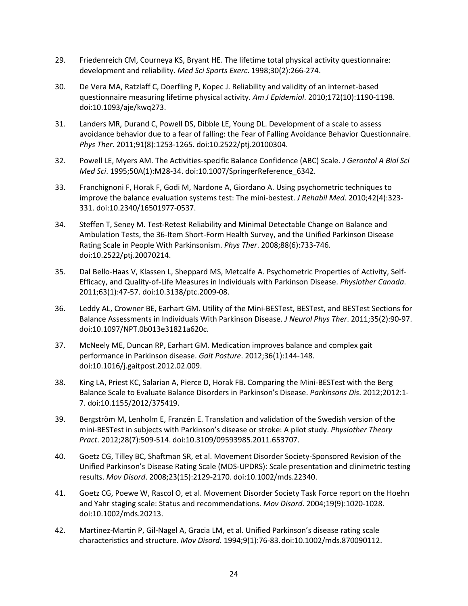- 29. Friedenreich CM, Courneya KS, Bryant HE. The lifetime total physical activity questionnaire: development and reliability. *Med Sci Sports Exerc*. 1998;30(2):266-274.
- 30. De Vera MA, Ratzlaff C, Doerfling P, Kopec J. Reliability and validity of an internet-based questionnaire measuring lifetime physical activity. *Am J Epidemiol*. 2010;172(10):1190-1198. doi:10.1093/aje/kwq273.
- 31. Landers MR, Durand C, Powell DS, Dibble LE, Young DL. Development of a scale to assess avoidance behavior due to a fear of falling: the Fear of Falling Avoidance Behavior Questionnaire. *Phys Ther*. 2011;91(8):1253-1265. doi:10.2522/ptj.20100304.
- 32. Powell LE, Myers AM. The Activities-specific Balance Confidence (ABC) Scale. *J Gerontol A Biol Sci Med Sci*. 1995;50A(1):M28-34. doi:10.1007/SpringerReference\_6342.
- 33. Franchignoni F, Horak F, Godi M, Nardone A, Giordano A. Using psychometric techniques to improve the balance evaluation systems test: The mini-bestest. *J Rehabil Med*. 2010;42(4):323- 331. doi:10.2340/16501977-0537.
- 34. Steffen T, Seney M. Test-Retest Reliability and Minimal Detectable Change on Balance and Ambulation Tests, the 36-Item Short-Form Health Survey, and the Unified Parkinson Disease Rating Scale in People With Parkinsonism. *Phys Ther*. 2008;88(6):733-746. doi:10.2522/ptj.20070214.
- 35. Dal Bello-Haas V, Klassen L, Sheppard MS, Metcalfe A. Psychometric Properties of Activity, Self-Efficacy, and Quality-of-Life Measures in Individuals with Parkinson Disease. *Physiother Canada*. 2011;63(1):47-57. doi:10.3138/ptc.2009-08.
- 36. Leddy AL, Crowner BE, Earhart GM. Utility of the Mini-BESTest, BESTest, and BESTest Sections for Balance Assessments in Individuals With Parkinson Disease. *J Neurol Phys Ther*. 2011;35(2):90-97. doi:10.1097/NPT.0b013e31821a620c.
- 37. McNeely ME, Duncan RP, Earhart GM. Medication improves balance and complex gait performance in Parkinson disease. *Gait Posture*. 2012;36(1):144-148. doi:10.1016/j.gaitpost.2012.02.009.
- 38. King LA, Priest KC, Salarian A, Pierce D, Horak FB. Comparing the Mini-BESTest with the Berg Balance Scale to Evaluate Balance Disorders in Parkinson's Disease. *Parkinsons Dis*. 2012;2012:1- 7. doi:10.1155/2012/375419.
- 39. Bergström M, Lenholm E, Franzén E. Translation and validation of the Swedish version of the mini-BESTest in subjects with Parkinson's disease or stroke: A pilot study. *Physiother Theory Pract*. 2012;28(7):509-514. doi:10.3109/09593985.2011.653707.
- 40. Goetz CG, Tilley BC, Shaftman SR, et al. Movement Disorder Society-Sponsored Revision of the Unified Parkinson's Disease Rating Scale (MDS-UPDRS): Scale presentation and clinimetric testing results. *Mov Disord*. 2008;23(15):2129-2170. doi:10.1002/mds.22340.
- 41. Goetz CG, Poewe W, Rascol O, et al. Movement Disorder Society Task Force report on the Hoehn and Yahr staging scale: Status and recommendations. *Mov Disord*. 2004;19(9):1020-1028. doi:10.1002/mds.20213.
- 42. Martinez-Martin P, Gil-Nagel A, Gracia LM, et al. Unified Parkinson's disease rating scale characteristics and structure. *Mov Disord*. 1994;9(1):76-83.doi:10.1002/mds.870090112.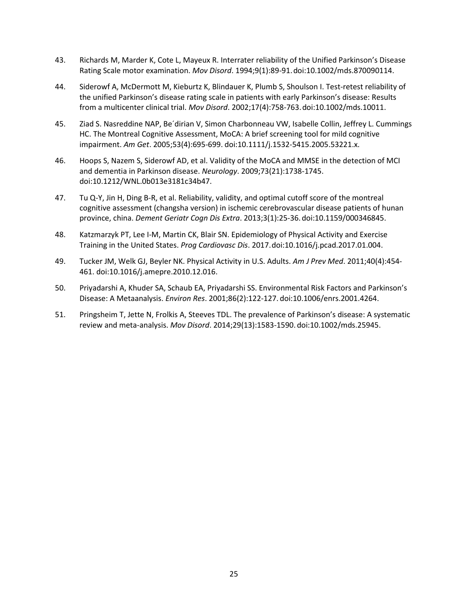- 43. Richards M, Marder K, Cote L, Mayeux R. Interrater reliability of the Unified Parkinson's Disease Rating Scale motor examination. *Mov Disord*. 1994;9(1):89-91.doi:10.1002/mds.870090114.
- 44. Siderowf A, McDermott M, Kieburtz K, Blindauer K, Plumb S, Shoulson I. Test-retest reliability of the unified Parkinson's disease rating scale in patients with early Parkinson's disease: Results from a multicenter clinical trial. *Mov Disord*. 2002;17(4):758-763.doi:10.1002/mds.10011.
- 45. Ziad S. Nasreddine NAP, Be´dirian V, Simon Charbonneau VW, Isabelle Collin, Jeffrey L. Cummings HC. The Montreal Cognitive Assessment, MoCA: A brief screening tool for mild cognitive impairment. *Am Get*. 2005;53(4):695-699. doi:10.1111/j.1532-5415.2005.53221.x.
- 46. Hoops S, Nazem S, Siderowf AD, et al. Validity of the MoCA and MMSE in the detection of MCI and dementia in Parkinson disease. *Neurology*. 2009;73(21):1738-1745. doi:10.1212/WNL.0b013e3181c34b47.
- 47. Tu Q-Y, Jin H, Ding B-R, et al. Reliability, validity, and optimal cutoff score of the montreal cognitive assessment (changsha version) in ischemic cerebrovascular disease patients of hunan province, china. *Dement Geriatr Cogn Dis Extra*. 2013;3(1):25-36.doi:10.1159/000346845.
- 48. Katzmarzyk PT, Lee I-M, Martin CK, Blair SN. Epidemiology of Physical Activity and Exercise Training in the United States. *Prog Cardiovasc Dis*. 2017.doi:10.1016/j.pcad.2017.01.004.
- 49. Tucker JM, Welk GJ, Beyler NK. Physical Activity in U.S. Adults. *Am J Prev Med*. 2011;40(4):454- 461. doi:10.1016/j.amepre.2010.12.016.
- 50. Priyadarshi A, Khuder SA, Schaub EA, Priyadarshi SS. Environmental Risk Factors and Parkinson's Disease: A Metaanalysis. *Environ Res*. 2001;86(2):122-127. doi:10.1006/enrs.2001.4264.
- 51. Pringsheim T, Jette N, Frolkis A, Steeves TDL. The prevalence of Parkinson's disease: A systematic review and meta-analysis. *Mov Disord*. 2014;29(13):1583-1590. doi:10.1002/mds.25945.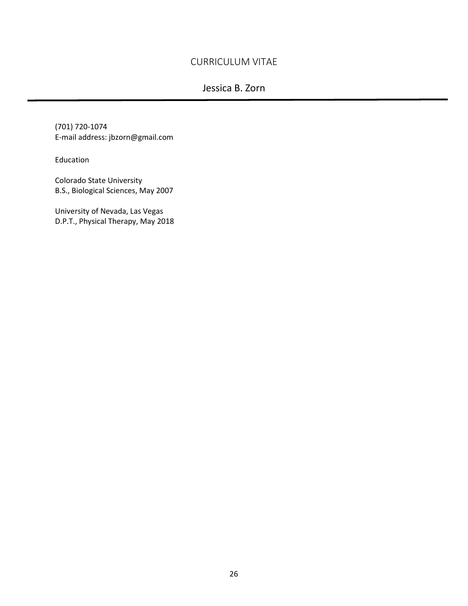## <span id="page-34-0"></span>CURRICULUM VITAE

## Jessica B. Zorn

(701) 720-1074 E-mail address: jbzorn@gmail.com

Education

Colorado State University B.S., Biological Sciences, May 2007

University of Nevada, Las Vegas D.P.T., Physical Therapy, May 2018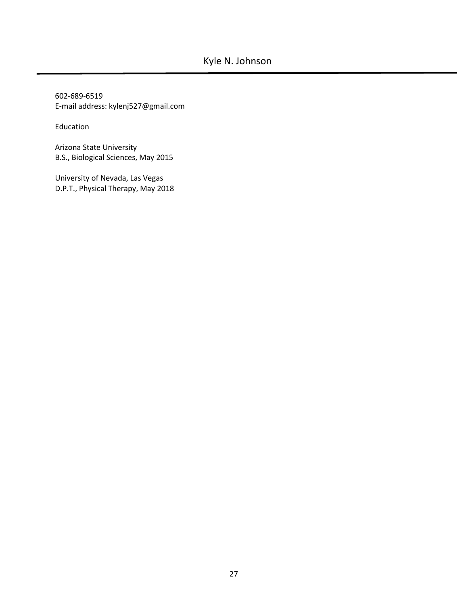602-689-6519 E-mail address: kylenj527@gmail.com

Education

Arizona State University B.S., Biological Sciences, May 2015

University of Nevada, Las Vegas D.P.T., Physical Therapy, May 2018